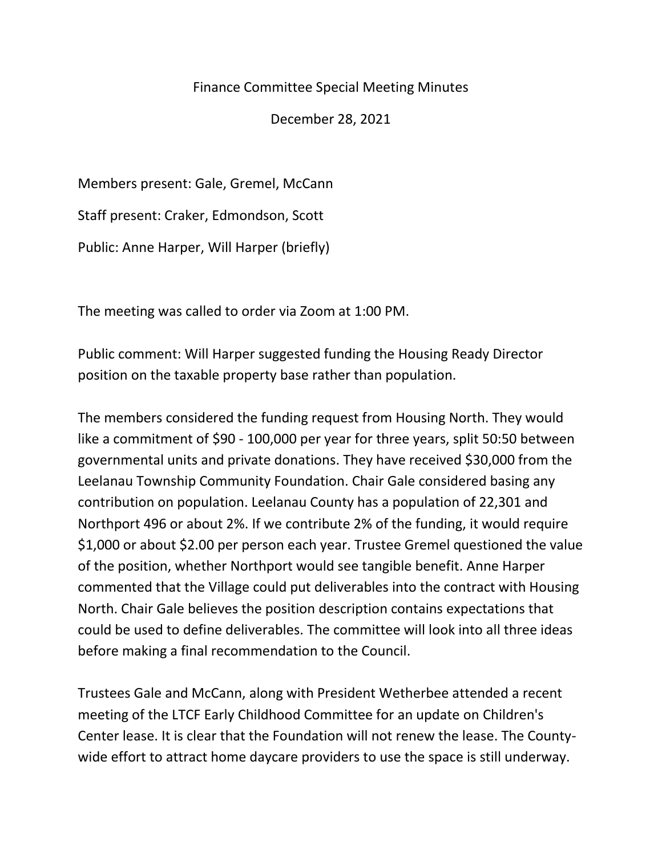## Finance Committee Special Meeting Minutes

December 28, 2021

Members present: Gale, Gremel, McCann Staff present: Craker, Edmondson, Scott Public: Anne Harper, Will Harper (briefly)

The meeting was called to order via Zoom at 1:00 PM.

Public comment: Will Harper suggested funding the Housing Ready Director position on the taxable property base rather than population.

The members considered the funding request from Housing North. They would like a commitment of \$90 - 100,000 per year for three years, split 50:50 between governmental units and private donations. They have received \$30,000 from the Leelanau Township Community Foundation. Chair Gale considered basing any contribution on population. Leelanau County has a population of 22,301 and Northport 496 or about 2%. If we contribute 2% of the funding, it would require \$1,000 or about \$2.00 per person each year. Trustee Gremel questioned the value of the position, whether Northport would see tangible benefit. Anne Harper commented that the Village could put deliverables into the contract with Housing North. Chair Gale believes the position description contains expectations that could be used to define deliverables. The committee will look into all three ideas before making a final recommendation to the Council.

Trustees Gale and McCann, along with President Wetherbee attended a recent meeting of the LTCF Early Childhood Committee for an update on Children's Center lease. It is clear that the Foundation will not renew the lease. The Countywide effort to attract home daycare providers to use the space is still underway.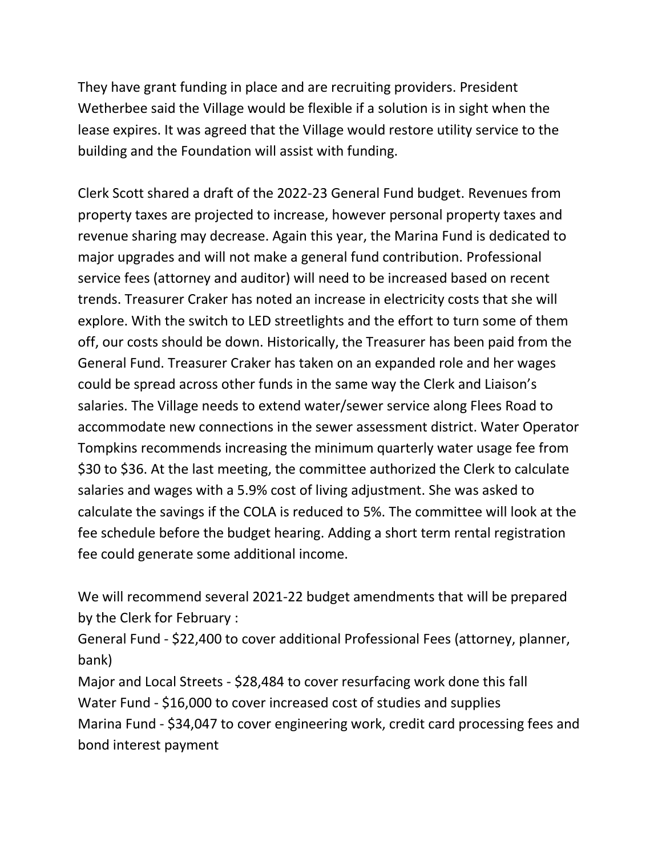They have grant funding in place and are recruiting providers. President Wetherbee said the Village would be flexible if a solution is in sight when the lease expires. It was agreed that the Village would restore utility service to the building and the Foundation will assist with funding.

Clerk Scott shared a draft of the 2022-23 General Fund budget. Revenues from property taxes are projected to increase, however personal property taxes and revenue sharing may decrease. Again this year, the Marina Fund is dedicated to major upgrades and will not make a general fund contribution. Professional service fees (attorney and auditor) will need to be increased based on recent trends. Treasurer Craker has noted an increase in electricity costs that she will explore. With the switch to LED streetlights and the effort to turn some of them off, our costs should be down. Historically, the Treasurer has been paid from the General Fund. Treasurer Craker has taken on an expanded role and her wages could be spread across other funds in the same way the Clerk and Liaison's salaries. The Village needs to extend water/sewer service along Flees Road to accommodate new connections in the sewer assessment district. Water Operator Tompkins recommends increasing the minimum quarterly water usage fee from \$30 to \$36. At the last meeting, the committee authorized the Clerk to calculate salaries and wages with a 5.9% cost of living adjustment. She was asked to calculate the savings if the COLA is reduced to 5%. The committee will look at the fee schedule before the budget hearing. Adding a short term rental registration fee could generate some additional income.

We will recommend several 2021-22 budget amendments that will be prepared by the Clerk for February :

General Fund - \$22,400 to cover additional Professional Fees (attorney, planner, bank)

Major and Local Streets - \$28,484 to cover resurfacing work done this fall Water Fund - \$16,000 to cover increased cost of studies and supplies Marina Fund - \$34,047 to cover engineering work, credit card processing fees and bond interest payment